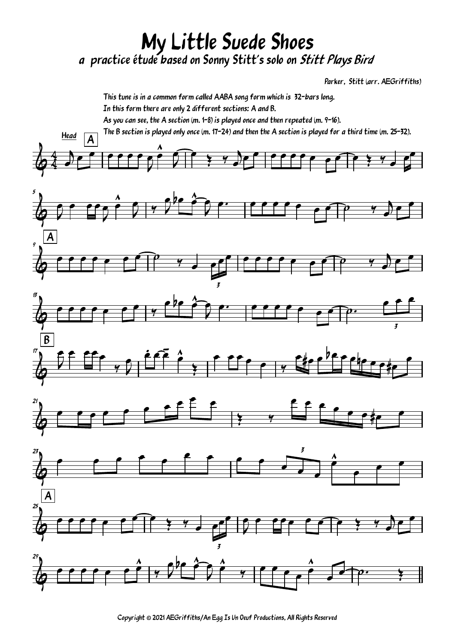## My Little Suede Shoes a practice étude based on Sonny Stitt's solo on Stitt Plays Bird

Parker, Stitt (arr. AEGriffiths)



Copyright © 2021 AEGriffiths/An Egg Is Un Oeuf Productions, All Rights Reserved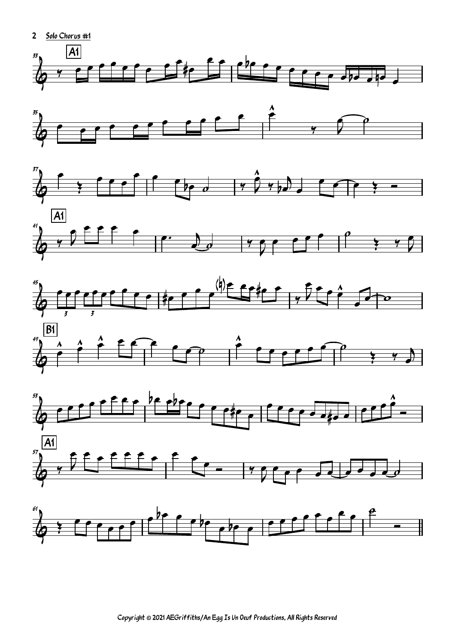